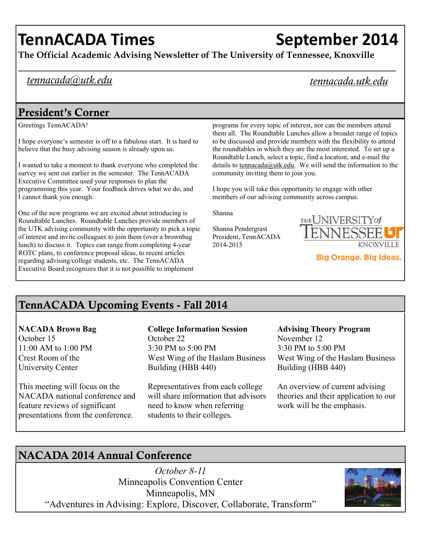# **TennACADA Times September 2014**

**The Official Academic Advising Newsletter of The University of Tennessee, Knoxville** 

# *tennacada@utk.edu*

# *tennacada.utk.edu*

# President's Corner

Greetings TennACADA!

I hope everyone's semester is off to a fabulous start. It is hard to believe that the busy advising season is already upon us.

I wanted to take a moment to thank everyone who completed the survey we sent out earlier in the semester. The TennACADA Executive Committee used your responses to plan the programming this year. Your feedback drives what we do, and I cannot thank you enough.

One of the new programs we are excited about introducing is Roundtable Lunches. Roundtable Lunches provide members of the UTK advising community with the opportunity to pick a topic of interest and invite colleagues to join them (over a brownbag lunch) to discuss it. Topics can range from completing 4-year ROTC plans, to conference proposal ideas, to recent articles regarding advising/college students, etc. The TennACADA Executive Board recognizes that it is not possible to implement

programs for every topic of interest, nor can the members attend them all. The Roundtable Lunches allow a broader range of topics to be discussed and provide members with the flexibility to attend the roundtables in which they are the most interested. To set up a Roundtable Lunch, select a topic, find a location, and e-mail the details to [tennacada@utk.edu](mailto:tennacada@utk.edu). We will send the information to the community inviting them to join you.

I hope you will take this opportunity to engage with other members of our advising community across campus.

Shanna

Shanna Pendergrast President, TennACADA 2014-2015



TennACADA Upcoming Events - Fall 2014

### **NACADA Brown Bag**

October 15 11:00 AM to 1:00 PM Crest Room of the University Center

This meeting will focus on the NACADA national conference and feature reviews of significant presentations from the conference.

# **College Information Session**  October 22

3:30 PM to 5:00 PM West Wing of the Haslam Business Building (HBB 440)

Representatives from each college will share information that advisors need to know when referring students to their colleges.

#### **Advising Theory Program**  November 12 3:30 PM to 5:00 PM West Wing of the Haslam Business Building (HBB 440)

An overview of current advising theories and their application to our work will be the emphasis.

# NACADA 2014 Annual Conference

*October 8-11*  Minneapolis Convention Center Minneapolis, MN "Adventures in Advising: Explore, Discover, Collaborate, Transform"

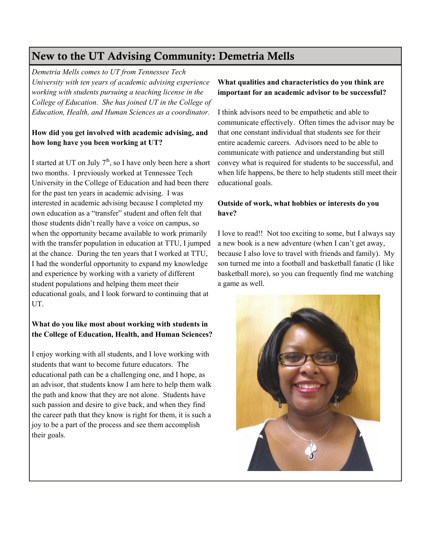# New to the UT Advising Community: Demetria Mells

*Demetria Mells comes to UT from Tennessee Tech University with ten years of academic advising experience working with students pursuing a teaching license in the College of Education. She has joined UT in the College of Education, Health, and Human Sciences as a coordinator.* 

#### **How did you get involved with academic advising, and how long have you been working at UT?**

I started at UT on July  $7<sup>th</sup>$ , so I have only been here a short two months. I previously worked at Tennessee Tech University in the College of Education and had been there for the past ten years in academic advising. I was interested in academic advising because I completed my own education as a "transfer" student and often felt that those students didn't really have a voice on campus, so when the opportunity became available to work primarily with the transfer population in education at TTU, I jumped at the chance. During the ten years that I worked at TTU, I had the wonderful opportunity to expand my knowledge and experience by working with a variety of different student populations and helping them meet their educational goals, and I look forward to continuing that at UT.

#### **What do you like most about working with students in the College of Education, Health, and Human Sciences?**

I enjoy working with all students, and I love working with students that want to become future educators. The educational path can be a challenging one, and I hope, as an advisor, that students know I am here to help them walk the path and know that they are not alone. Students have such passion and desire to give back, and when they find the career path that they know is right for them, it is such a joy to be a part of the process and see them accomplish their goals.

#### **What qualities and characteristics do you think are important for an academic advisor to be successful?**

I think advisors need to be empathetic and able to communicate effectively. Often times the advisor may be that one constant individual that students see for their entire academic careers. Advisors need to be able to communicate with patience and understanding but still convey what is required for students to be successful, and when life happens, be there to help students still meet their educational goals.

#### **Outside of work, what hobbies or interests do you have?**

I love to read!! Not too exciting to some, but I always say a new book is a new adventure (when I can't get away, because I also love to travel with friends and family). My son turned me into a football and basketball fanatic (I like basketball more), so you can frequently find me watching a game as well.